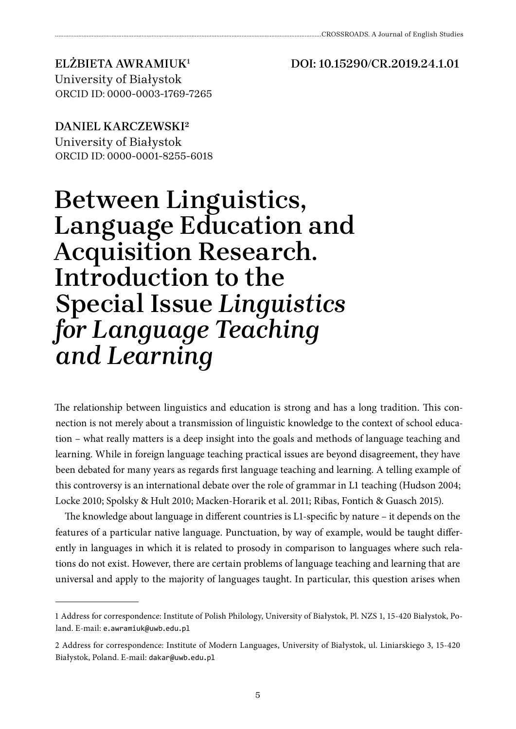**DOI: 10.15290/CR.2019.24.1.01**

## **ELŻBIETA AWRAMIUK1** University of Białystok

ORCID ID: 0000-0003-1769-7265

**DANIEL KARCZEWSKI2** University of Białystok ORCID ID: 0000-0001-8255-6018

## **Between Linguistics, Language Education and Acquisition Research. Introduction to the Special Issue** *Linguistics for Language Teaching and Learning*

The relationship between linguistics and education is strong and has a long tradition. This connection is not merely about a transmission of linguistic knowledge to the context of school education – what really matters is a deep insight into the goals and methods of language teaching and learning. While in foreign language teaching practical issues are beyond disagreement, they have been debated for many years as regards first language teaching and learning. A telling example of this controversy is an international debate over the role of grammar in L1 teaching (Hudson 2004; Locke 2010; Spolsky & Hult 2010; Macken-Horarik et al. 2011; Ribas, Fontich & Guasch 2015).

The knowledge about language in different countries is L1-specific by nature – it depends on the features of a particular native language. Punctuation, by way of example, would be taught differently in languages in which it is related to prosody in comparison to languages where such relations do not exist. However, there are certain problems of language teaching and learning that are universal and apply to the majority of languages taught. In particular, this question arises when

<sup>1</sup> Address for correspondence: Institute of Polish Philology, University of Białystok, Pl. NZS 1, 15-420 Białystok, Poland. E-mail: e.awramiuk@uwb.edu.pl

<sup>2</sup> Address for correspondence: Institute of Modern Languages, University of Białystok, ul. Liniarskiego 3, 15-420 Białystok, Poland. E-mail: dakar@uwb.edu.pl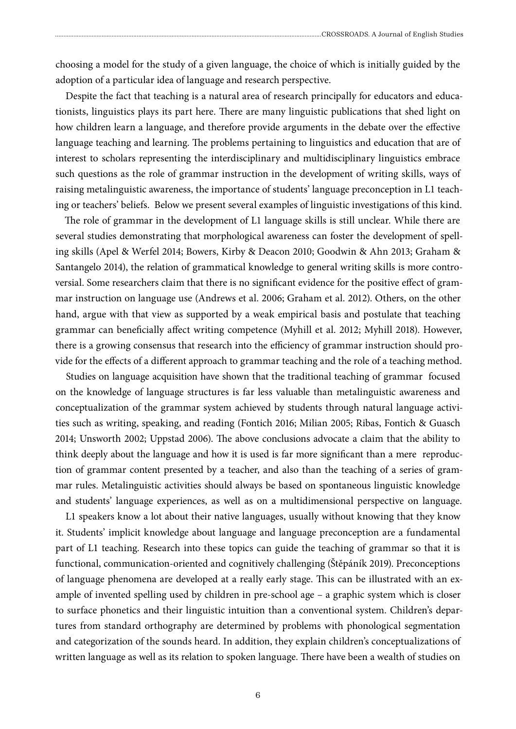choosing a model for the study of a given language, the choice of which is initially guided by the adoption of a particular idea of language and research perspective.

Despite the fact that teaching is a natural area of research principally for educators and educationists, linguistics plays its part here. There are many linguistic publications that shed light on how children learn a language, and therefore provide arguments in the debate over the effective language teaching and learning. The problems pertaining to linguistics and education that are of interest to scholars representing the interdisciplinary and multidisciplinary linguistics embrace such questions as the role of grammar instruction in the development of writing skills, ways of raising metalinguistic awareness, the importance of students' language preconception in L1 teaching or teachers' beliefs. Below we present several examples of linguistic investigations of this kind.

The role of grammar in the development of L1 language skills is still unclear. While there are several studies demonstrating that morphological awareness can foster the development of spelling skills (Apel & Werfel 2014; Bowers, Kirby & Deacon 2010; Goodwin & Ahn 2013; Graham & Santangelo 2014), the relation of grammatical knowledge to general writing skills is more controversial. Some researchers claim that there is no significant evidence for the positive effect of grammar instruction on language use (Andrews et al. 2006; Graham et al. 2012). Others, on the other hand, argue with that view as supported by a weak empirical basis and postulate that teaching grammar can beneficially affect writing competence (Myhill et al. 2012; Myhill 2018). However, there is a growing consensus that research into the efficiency of grammar instruction should provide for the effects of a different approach to grammar teaching and the role of a teaching method.

Studies on language acquisition have shown that the traditional teaching of grammar focused on the knowledge of language structures is far less valuable than metalinguistic awareness and conceptualization of the grammar system achieved by students through natural language activities such as writing, speaking, and reading (Fontich 2016; Milian 2005; Ribas, Fontich & Guasch 2014; Unsworth 2002; Uppstad 2006). The above conclusions advocate a claim that the ability to think deeply about the language and how it is used is far more significant than a mere reproduction of grammar content presented by a teacher, and also than the teaching of a series of grammar rules. Metalinguistic activities should always be based on spontaneous linguistic knowledge and students' language experiences, as well as on a multidimensional perspective on language.

L1 speakers know a lot about their native languages, usually without knowing that they know it. Students' implicit knowledge about language and language preconception are a fundamental part of L1 teaching. Research into these topics can guide the teaching of grammar so that it is functional, communication-oriented and cognitively challenging (Štěpáník 2019). Preconceptions of language phenomena are developed at a really early stage. This can be illustrated with an example of invented spelling used by children in pre-school age – a graphic system which is closer to surface phonetics and their linguistic intuition than a conventional system. Children's departures from standard orthography are determined by problems with phonological segmentation and categorization of the sounds heard. In addition, they explain children's conceptualizations of written language as well as its relation to spoken language. There have been a wealth of studies on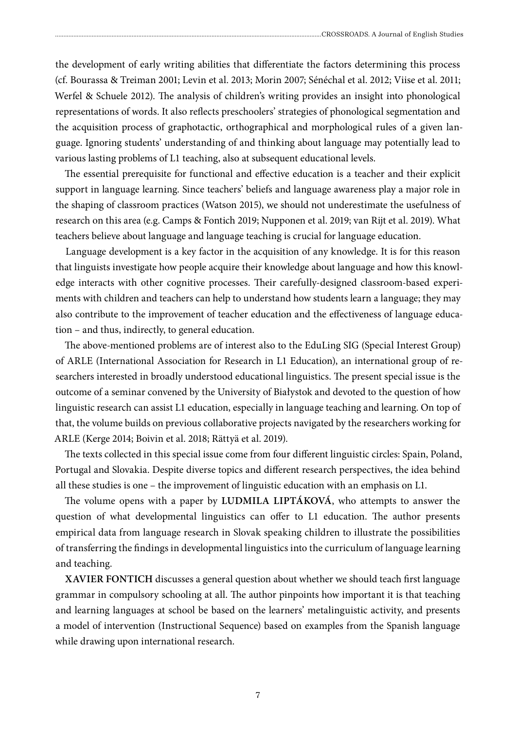the development of early writing abilities that differentiate the factors determining this process (cf. Bourassa & Treiman 2001; Levin et al. 2013; Morin 2007; Sénéchal et al. 2012; Viise et al. 2011; Werfel & Schuele 2012). The analysis of children's writing provides an insight into phonological representations of words. It also reflects preschoolers' strategies of phonological segmentation and the acquisition process of graphotactic, orthographical and morphological rules of a given language. Ignoring students' understanding of and thinking about language may potentially lead to various lasting problems of L1 teaching, also at subsequent educational levels.

The essential prerequisite for functional and effective education is a teacher and their explicit support in language learning. Since teachers' beliefs and language awareness play a major role in the shaping of classroom practices (Watson 2015), we should not underestimate the usefulness of research on this area (e.g. Camps & Fontich 2019; Nupponen et al. 2019; van Rijt et al. 2019). What teachers believe about language and language teaching is crucial for language education.

Language development is a key factor in the acquisition of any knowledge. It is for this reason that linguists investigate how people acquire their knowledge about language and how this knowledge interacts with other cognitive processes. Their carefully-designed classroom-based experiments with children and teachers can help to understand how students learn a language; they may also contribute to the improvement of teacher education and the effectiveness of language education – and thus, indirectly, to general education.

The above-mentioned problems are of interest also to the EduLing SIG (Special Interest Group) of ARLE (International Association for Research in L1 Education), an international group of researchers interested in broadly understood educational linguistics. The present special issue is the outcome of a seminar convened by the University of Białystok and devoted to the question of how linguistic research can assist L1 education, especially in language teaching and learning. On top of that, the volume builds on previous collaborative projects navigated by the researchers working for ARLE (Kerge 2014; Boivin et al. 2018; Rättyä et al. 2019).

The texts collected in this special issue come from four different linguistic circles: Spain, Poland, Portugal and Slovakia. Despite diverse topics and different research perspectives, the idea behind all these studies is one – the improvement of linguistic education with an emphasis on L1.

The volume opens with a paper by **LUDMILA LIPTÁKOVÁ**, who attempts to answer the question of what developmental linguistics can offer to L1 education. The author presents empirical data from language research in Slovak speaking children to illustrate the possibilities of transferring the findings in developmental linguistics into the curriculum of language learning and teaching.

**XAVIER FONTICH** discusses a general question about whether we should teach first language grammar in compulsory schooling at all. The author pinpoints how important it is that teaching and learning languages at school be based on the learners' metalinguistic activity, and presents a model of intervention (Instructional Sequence) based on examples from the Spanish language while drawing upon international research.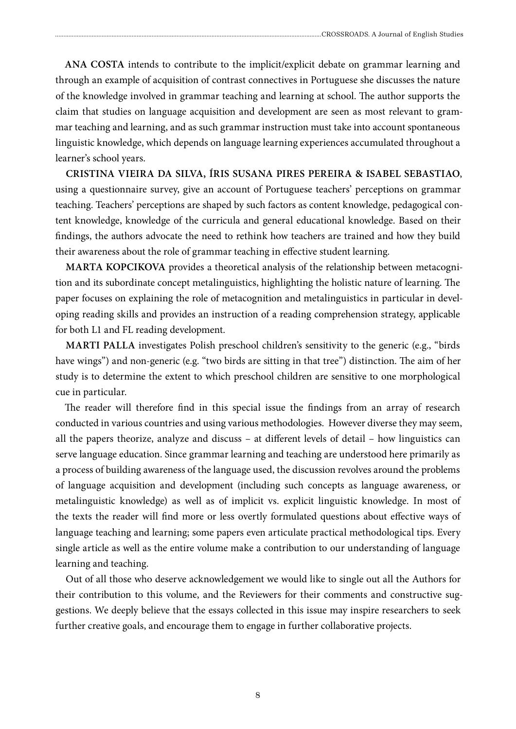**ANA COSTA** intends to contribute to the implicit/explicit debate on grammar learning and through an example of acquisition of contrast connectives in Portuguese she discusses the nature of the knowledge involved in grammar teaching and learning at school. The author supports the claim that studies on language acquisition and development are seen as most relevant to grammar teaching and learning, and as such grammar instruction must take into account spontaneous linguistic knowledge, which depends on language learning experiences accumulated throughout a learner's school years.

**CRISTINA VIEIRA DA SILVA, ÍRIS SUSANA PIRES PEREIRA & ISABEL SEBASTIAO**, using a questionnaire survey, give an account of Portuguese teachers' perceptions on grammar teaching. Teachers' perceptions are shaped by such factors as content knowledge, pedagogical content knowledge, knowledge of the curricula and general educational knowledge. Based on their findings, the authors advocate the need to rethink how teachers are trained and how they build their awareness about the role of grammar teaching in effective student learning.

**MARTA KOPCIKOVA** provides a theoretical analysis of the relationship between metacognition and its subordinate concept metalinguistics, highlighting the holistic nature of learning. The paper focuses on explaining the role of metacognition and metalinguistics in particular in developing reading skills and provides an instruction of a reading comprehension strategy, applicable for both L1 and FL reading development.

**MARTI PALLA** investigates Polish preschool children's sensitivity to the generic (e.g., "birds have wings") and non-generic (e.g. "two birds are sitting in that tree") distinction. The aim of her study is to determine the extent to which preschool children are sensitive to one morphological cue in particular.

The reader will therefore find in this special issue the findings from an array of research conducted in various countries and using various methodologies. However diverse they may seem, all the papers theorize, analyze and discuss – at different levels of detail – how linguistics can serve language education. Since grammar learning and teaching are understood here primarily as a process of building awareness of the language used, the discussion revolves around the problems of language acquisition and development (including such concepts as language awareness, or metalinguistic knowledge) as well as of implicit vs. explicit linguistic knowledge. In most of the texts the reader will find more or less overtly formulated questions about effective ways of language teaching and learning; some papers even articulate practical methodological tips. Every single article as well as the entire volume make a contribution to our understanding of language learning and teaching.

Out of all those who deserve acknowledgement we would like to single out all the Authors for their contribution to this volume, and the Reviewers for their comments and constructive suggestions. We deeply believe that the essays collected in this issue may inspire researchers to seek further creative goals, and encourage them to engage in further collaborative projects.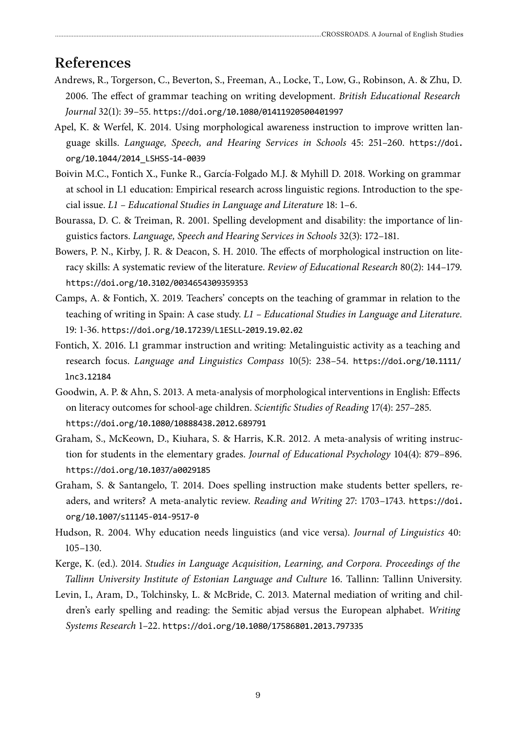## **References**

- Andrews, R., Torgerson, C., Beverton, S., Freeman, A., Locke, T., Low, G., Robinson, A. & Zhu, D. 2006. The effect of grammar teaching on writing development. *British Educational Research Journal* 32(1): 39–55. https://doi.org/10.1080/01411920500401997
- Apel, K. & Werfel, K. 2014. Using morphological awareness instruction to improve written language skills. *Language, Speech, and Hearing Services in Schools* 45: 251–260. https://doi. org/10.1044/2014\_LSHSS-14-0039
- Boivin M.C., Fontich X., Funke R., García-Folgado M.J. & Myhill D. 2018. Working on grammar at school in L1 education: Empirical research across linguistic regions. Introduction to the special issue. *L1 – Educational Studies in Language and Literature* 18: 1–6.
- Bourassa, D. C. & Treiman, R. 2001. Spelling development and disability: the importance of linguistics factors. *Language, Speech and Hearing Services in Schools* 32(3): 172–181.
- Bowers, P. N., Kirby, J. R. & Deacon, S. H. 2010. The effects of morphological instruction on literacy skills: A systematic review of the literature. *Review of Educational Research* 80(2): 144–179. https://doi.org/10.3102/0034654309359353
- Camps, A. & Fontich, X. 2019. Teachers' concepts on the teaching of grammar in relation to the teaching of writing in Spain: A case study. *L1 – Educational Studies in Language and Literature.*  19: 1-36. https://doi.org/10.17239/L1ESLL-2019.19.02.02
- Fontich, X. 2016. L1 grammar instruction and writing: Metalinguistic activity as a teaching and research focus. *Language and Linguistics Compass* 10(5): 238–54. https://doi.org/10.1111/ lnc3.12184
- Goodwin, A. P. & Ahn, S. 2013. A meta-analysis of morphological interventions in English: Effects on literacy outcomes for school-age children. *Scientific Studies of Reading* 17(4): 257–285. https://doi.org/10.1080/10888438.2012.689791
- Graham, S., McKeown, D., Kiuhara, S. & Harris, K.R. 2012. A meta-analysis of writing instruction for students in the elementary grades. *Journal of Educational Psychology* 104(4): 879–896. https://doi.org/10.1037/a0029185
- Graham, S. & Santangelo, T. 2014. Does spelling instruction make students better spellers, readers, and writers? A meta-analytic review. *Reading and Writing* 27: 1703–1743. https://doi. org/10.1007/s11145-014-9517-0
- Hudson, R. 2004. Why education needs linguistics (and vice versa). *Journal of Linguistics* 40: 105–130.
- Kerge, K. (ed.). 2014. *Studies in Language Acquisition, Learning, and Corpora. Proceedings of the Tallinn University Institute of Estonian Language and Culture* 16. Tallinn: Tallinn University.
- Levin, I., Aram, D., Tolchinsky, L. & McBride, C. 2013. Maternal mediation of writing and children's early spelling and reading: the Semitic abjad versus the European alphabet. *Writing Systems Research* 1–22. https://doi.org/10.1080/17586801.2013.797335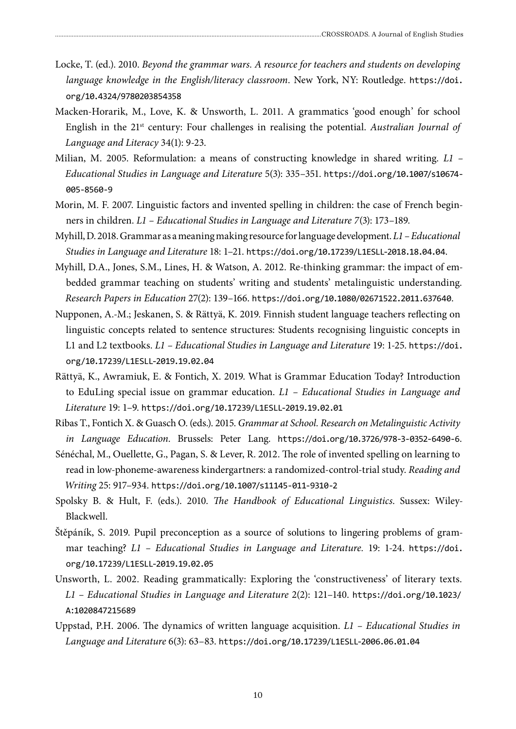- Locke, T. (ed.). 2010. *Beyond the grammar wars. A resource for teachers and students on developing language knowledge in the English/literacy classroom*. New York, NY: Routledge. https://doi. org/10.4324/9780203854358
- Macken-Horarik, M., Love, K. & Unsworth, L. 2011. A grammatics 'good enough' for school English in the 21st century: Four challenges in realising the potential. *Australian Journal of Language and Literacy* 34(1): 9-23.
- Milian, M. 2005. Reformulation: a means of constructing knowledge in shared writing. *L1 Educational Studies in Language and Literature* 5(3): 335–351. https://doi.org/10.1007/s10674- 005-8560-9
- Morin, M. F. 2007. Linguistic factors and invented spelling in children: the case of French beginners in children. *L1 – Educational Studies in Language and Literature 7*(3): 173–189.
- Myhill, D. 2018. Grammar as a meaning making resource for language development. *L1 –Educational Studies in Language and Literature* 18: 1–21. https://doi.org/10.17239/L1ESLL-2018.18.04.04.
- Myhill, D.A., Jones, S.M., Lines, H. & Watson, A. 2012. Re-thinking grammar: the impact of embedded grammar teaching on students' writing and students' metalinguistic understanding. *Research Papers in Education* 27(2): 139–166. https://doi.org/10.1080/02671522.2011.637640.
- Nupponen, A.-M.; Jeskanen, S. & Rättyä, K. 2019. Finnish student language teachers reflecting on linguistic concepts related to sentence structures: Students recognising linguistic concepts in L1 and L2 textbooks. *L1 – Educational Studies in Language and Literature* 19: 1-25. https://doi. org/10.17239/L1ESLL-2019.19.02.04
- Rättyä, K., Awramiuk, E. & Fontich, X. 2019. What is Grammar Education Today? Introduction to EduLing special issue on grammar education. *L1 – Educational Studies in Language and Literature* 19: 1–9. https://doi.org/10.17239/L1ESLL-2019.19.02.01
- Ribas T., Fontich X. & Guasch O. (eds.). 2015. *Grammar at School. Research on Metalinguistic Activity in Language Education*. Brussels: Peter Lang. https://doi.org/10.3726/978-3-0352-6490-6.
- Sénéchal, M., Ouellette, G., Pagan, S. & Lever, R. 2012. The role of invented spelling on learning to read in low-phoneme-awareness kindergartners: a randomized-control-trial study. *Reading and Writing* 25: 917–934. https://doi.org/10.1007/s11145-011-9310-2
- Spolsky B. & Hult, F. (eds.). 2010. *The Handbook of Educational Linguistics*. Sussex: Wiley-Blackwell.
- Štěpáník, S. 2019. Pupil preconception as a source of solutions to lingering problems of grammar teaching? *L1 – Educational Studies in Language and Literature.* 19: 1-24. https://doi. org/10.17239/L1ESLL-2019.19.02.05
- Unsworth, L. 2002. Reading grammatically: Exploring the 'constructiveness' of literary texts. *L1 – Educational Studies in Language and Literature* 2(2): 121–140. https://doi.org/10.1023/ A:1020847215689
- Uppstad, P.H. 2006. The dynamics of written language acquisition. *L1 Educational Studies in Language and Literature* 6(3): 63–83. https://doi.org/10.17239/L1ESLL-2006.06.01.04